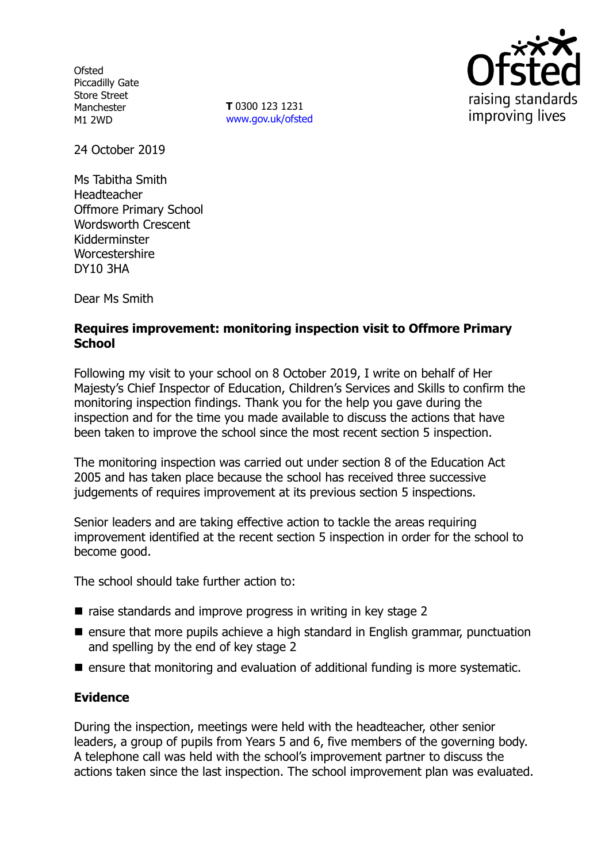**Ofsted** Piccadilly Gate Store Street Manchester M1 2WD

**T** 0300 123 1231 www.gov.uk/ofsted



24 October 2019

Ms Tabitha Smith Headteacher Offmore Primary School Wordsworth Crescent Kidderminster Worcestershire DY10 3HA

Dear Ms Smith

## **Requires improvement: monitoring inspection visit to Offmore Primary School**

Following my visit to your school on 8 October 2019, I write on behalf of Her Majesty's Chief Inspector of Education, Children's Services and Skills to confirm the monitoring inspection findings. Thank you for the help you gave during the inspection and for the time you made available to discuss the actions that have been taken to improve the school since the most recent section 5 inspection.

The monitoring inspection was carried out under section 8 of the Education Act 2005 and has taken place because the school has received three successive judgements of requires improvement at its previous section 5 inspections.

Senior leaders and are taking effective action to tackle the areas requiring improvement identified at the recent section 5 inspection in order for the school to become good.

The school should take further action to:

- $\blacksquare$  raise standards and improve progress in writing in key stage 2
- ensure that more pupils achieve a high standard in English grammar, punctuation and spelling by the end of key stage 2
- $\blacksquare$  ensure that monitoring and evaluation of additional funding is more systematic.

## **Evidence**

During the inspection, meetings were held with the headteacher, other senior leaders, a group of pupils from Years 5 and 6, five members of the governing body. A telephone call was held with the school's improvement partner to discuss the actions taken since the last inspection. The school improvement plan was evaluated.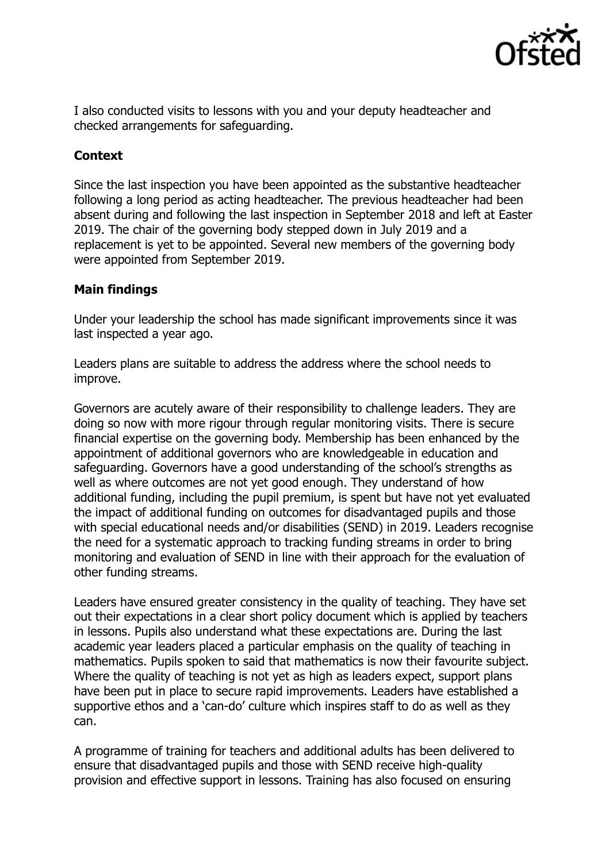

I also conducted visits to lessons with you and your deputy headteacher and checked arrangements for safeguarding.

# **Context**

Since the last inspection you have been appointed as the substantive headteacher following a long period as acting headteacher. The previous headteacher had been absent during and following the last inspection in September 2018 and left at Easter 2019. The chair of the governing body stepped down in July 2019 and a replacement is yet to be appointed. Several new members of the governing body were appointed from September 2019.

## **Main findings**

Under your leadership the school has made significant improvements since it was last inspected a year ago.

Leaders plans are suitable to address the address where the school needs to improve.

Governors are acutely aware of their responsibility to challenge leaders. They are doing so now with more rigour through regular monitoring visits. There is secure financial expertise on the governing body. Membership has been enhanced by the appointment of additional governors who are knowledgeable in education and safeguarding. Governors have a good understanding of the school's strengths as well as where outcomes are not yet good enough. They understand of how additional funding, including the pupil premium, is spent but have not yet evaluated the impact of additional funding on outcomes for disadvantaged pupils and those with special educational needs and/or disabilities (SEND) in 2019. Leaders recognise the need for a systematic approach to tracking funding streams in order to bring monitoring and evaluation of SEND in line with their approach for the evaluation of other funding streams.

Leaders have ensured greater consistency in the quality of teaching. They have set out their expectations in a clear short policy document which is applied by teachers in lessons. Pupils also understand what these expectations are. During the last academic year leaders placed a particular emphasis on the quality of teaching in mathematics. Pupils spoken to said that mathematics is now their favourite subject. Where the quality of teaching is not yet as high as leaders expect, support plans have been put in place to secure rapid improvements. Leaders have established a supportive ethos and a 'can-do' culture which inspires staff to do as well as they can.

A programme of training for teachers and additional adults has been delivered to ensure that disadvantaged pupils and those with SEND receive high-quality provision and effective support in lessons. Training has also focused on ensuring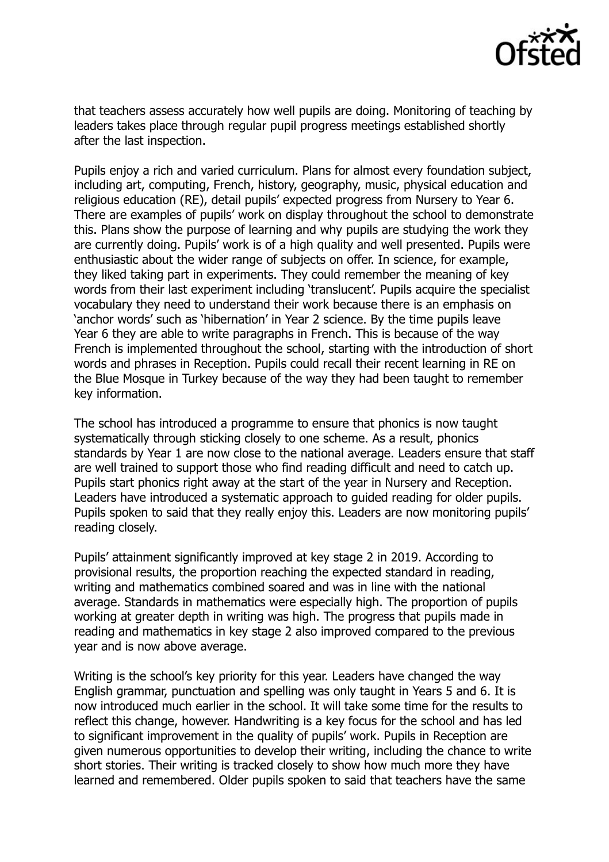

that teachers assess accurately how well pupils are doing. Monitoring of teaching by leaders takes place through regular pupil progress meetings established shortly after the last inspection.

Pupils enjoy a rich and varied curriculum. Plans for almost every foundation subject, including art, computing, French, history, geography, music, physical education and religious education (RE), detail pupils' expected progress from Nursery to Year 6. There are examples of pupils' work on display throughout the school to demonstrate this. Plans show the purpose of learning and why pupils are studying the work they are currently doing. Pupils' work is of a high quality and well presented. Pupils were enthusiastic about the wider range of subjects on offer. In science, for example, they liked taking part in experiments. They could remember the meaning of key words from their last experiment including 'translucent'. Pupils acquire the specialist vocabulary they need to understand their work because there is an emphasis on 'anchor words' such as 'hibernation' in Year 2 science. By the time pupils leave Year 6 they are able to write paragraphs in French. This is because of the way French is implemented throughout the school, starting with the introduction of short words and phrases in Reception. Pupils could recall their recent learning in RE on the Blue Mosque in Turkey because of the way they had been taught to remember key information.

The school has introduced a programme to ensure that phonics is now taught systematically through sticking closely to one scheme. As a result, phonics standards by Year 1 are now close to the national average. Leaders ensure that staff are well trained to support those who find reading difficult and need to catch up. Pupils start phonics right away at the start of the year in Nursery and Reception. Leaders have introduced a systematic approach to guided reading for older pupils. Pupils spoken to said that they really enjoy this. Leaders are now monitoring pupils' reading closely.

Pupils' attainment significantly improved at key stage 2 in 2019. According to provisional results, the proportion reaching the expected standard in reading, writing and mathematics combined soared and was in line with the national average. Standards in mathematics were especially high. The proportion of pupils working at greater depth in writing was high. The progress that pupils made in reading and mathematics in key stage 2 also improved compared to the previous year and is now above average.

Writing is the school's key priority for this year. Leaders have changed the way English grammar, punctuation and spelling was only taught in Years 5 and 6. It is now introduced much earlier in the school. It will take some time for the results to reflect this change, however. Handwriting is a key focus for the school and has led to significant improvement in the quality of pupils' work. Pupils in Reception are given numerous opportunities to develop their writing, including the chance to write short stories. Their writing is tracked closely to show how much more they have learned and remembered. Older pupils spoken to said that teachers have the same